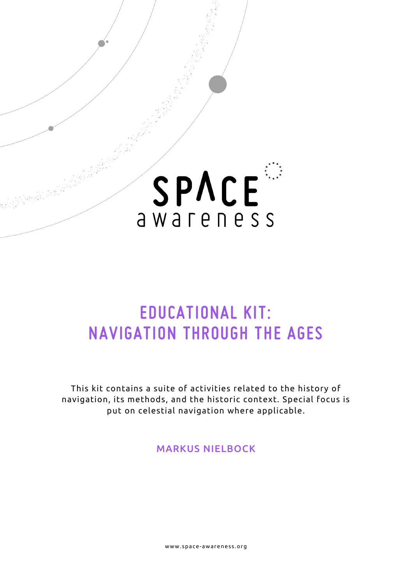

# EDUCATIONAL KIT: NAVIGATION THROUGH THE AGES

This kit contains a suite of activities related to the history of navigation, its methods, and the historic context. Special focus is put on celestial navigation where applicable.

MARKUS NIELBOCK

www.space-awareness.org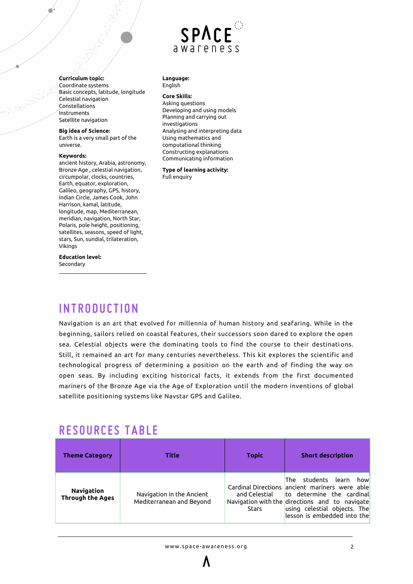## SPACE awareness

**Curriculum topic:** Coordinate systems Basic concepts, latitude, longitude Celestial navigation Constellations Instruments Satellite navigation

### **Big idea of Science:**

Earth is a very small part of the universe.

### **Keywords:**

ancient history, Arabia, astronomy, Bronze Age , celestial navigation, circumpolar, clocks, countries, Earth, equator, exploration, Galileo, geography, GPS, history, Indian Circle, James Cook, John Harrison, kamal, latitude, longitude, map, Mediterranean, meridian, navigation, North Star, Polaris, pole height, positioning, satellites, seasons, speed of light, stars, Sun, sundial, trilateration, Vikings

**Education level:** Secondary

#### **Language:** English

### **Core Skills:**

Asking questions Developing and using models Planning and carrying out investigations Analysing and interpreting data Using mathematics and computational thinking Constructing explanations Communicating information

#### **Type of learning activity:** Full enquiry

# **INTRODUCTION**

Navigation is an art that evolved for millennia of human history and seafaring. While in the beginning, sailors relied on coastal features, their successors soon dared to explore the open sea. Celestial objects were the dominating tools to find the course to their destinations. Still, it remained an art for many centuries nevertheless. This kit explores the scientific and technological progress of determining a position on the earth and of finding the way on open seas. By including exciting historical facts, it extends from the first documented mariners of the Bronze Age via the Age of Exploration until the modern inventions of global satellite positioning systems like Navstar GPS and Galileo.

# RESOURCES TABLE

| <b>Theme Category</b>                        | Title                                                 | Topic                         | <b>Short description</b>                                                                                                                                                                                                                      |
|----------------------------------------------|-------------------------------------------------------|-------------------------------|-----------------------------------------------------------------------------------------------------------------------------------------------------------------------------------------------------------------------------------------------|
| <b>Navigation</b><br><b>Through the Ages</b> | Navigation in the Ancient<br>Mediterranean and Beyond | and Celestial<br><b>Stars</b> | students learn<br><b>The</b><br>how<br>Cardinal Directions ancient mariners were able<br>to determine the cardinal<br>Navigation with the directions and to navigate<br>using celestial objects. The<br>$\,$ lesson is embedded into the $\,$ |